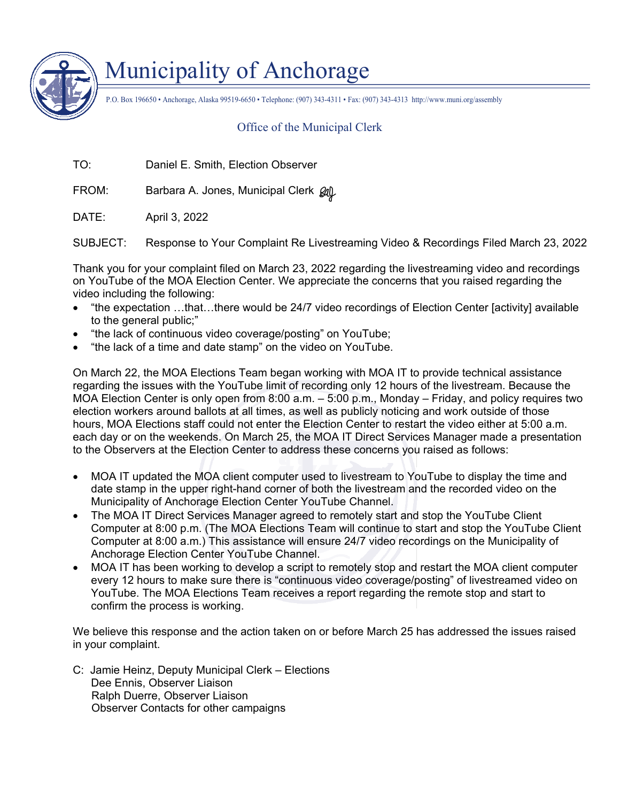

## Municipality of Anchorage

P.O. Box 196650 • Anchorage, Alaska 99519-6650 • Telephone: (907) 343-4311 • Fax: (907) 343-4313 http://www.muni.org/assembly

## Office of the Municipal Clerk

TO: Daniel E. Smith, Election Observer

FROM: Barbara A. Jones, Municipal Clerk  $\rho\llap{/}{\sim}$ 

DATE: April 3, 2022

SUBJECT: Response to Your Complaint Re Livestreaming Video & Recordings Filed March 23, 2022

Thank you for your complaint filed on March 23, 2022 regarding the livestreaming video and recordings on YouTube of the MOA Election Center. We appreciate the concerns that you raised regarding the video including the following:

- "the expectation …that…there would be 24/7 video recordings of Election Center [activity] available to the general public;"
- "the lack of continuous video coverage/posting" on YouTube;
- "the lack of a time and date stamp" on the video on YouTube.

On March 22, the MOA Elections Team began working with MOA IT to provide technical assistance regarding the issues with the YouTube limit of recording only 12 hours of the livestream. Because the MOA Election Center is only open from 8:00 a.m. – 5:00 p.m., Monday – Friday, and policy requires two election workers around ballots at all times, as well as publicly noticing and work outside of those hours, MOA Elections staff could not enter the Election Center to restart the video either at 5:00 a.m. each day or on the weekends. On March 25, the MOA IT Direct Services Manager made a presentation to the Observers at the Election Center to address these concerns you raised as follows:

- MOA IT updated the MOA client computer used to livestream to YouTube to display the time and date stamp in the upper right-hand corner of both the livestream and the recorded video on the Municipality of Anchorage Election Center YouTube Channel.
- The MOA IT Direct Services Manager agreed to remotely start and stop the YouTube Client Computer at 8:00 p.m. (The MOA Elections Team will continue to start and stop the YouTube Client Computer at 8:00 a.m.) This assistance will ensure 24/7 video recordings on the Municipality of Anchorage Election Center YouTube Channel.
- MOA IT has been working to develop a script to remotely stop and restart the MOA client computer every 12 hours to make sure there is "continuous video coverage/posting" of livestreamed video on YouTube. The MOA Elections Team receives a report regarding the remote stop and start to confirm the process is working.

We believe this response and the action taken on or before March 25 has addressed the issues raised in your complaint.

C: Jamie Heinz, Deputy Municipal Clerk – Elections Dee Ennis, Observer Liaison Ralph Duerre, Observer Liaison Observer Contacts for other campaigns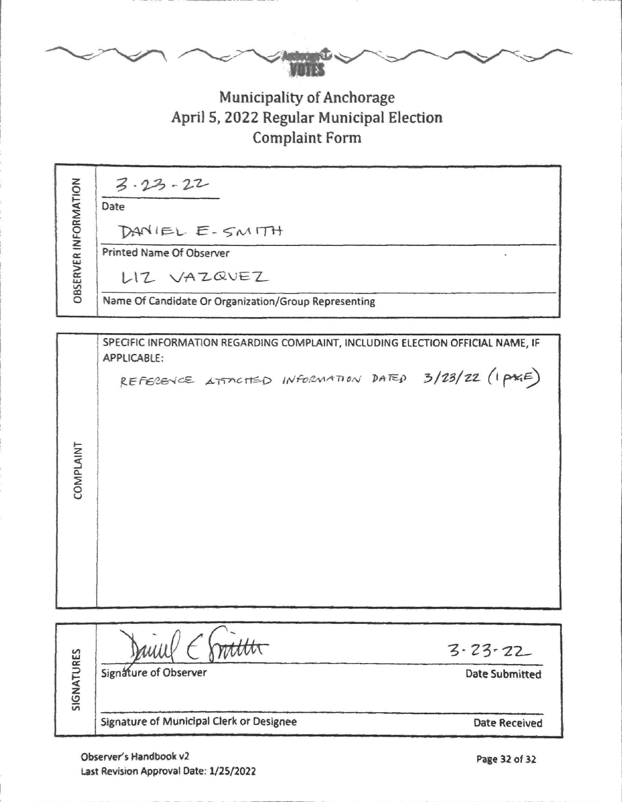## **Municipality of Anchorage** April 5, 2022 Regular Municipal Election **Complaint Form**

**OBSERVER INFORMATION** 

| $3.23 - 22$  |  |
|--------------|--|
| Date         |  |
| ™ and invest |  |

DANIEL E-SMITH

Printed Name Of Observer

LIZ VAZQVEZ

Name Of Candidate Or Organization/Group Representing

|            | SPECIFIC INFORMATION REGARDING COMPLAINT, INCLUDING ELECTION OFFICIAL NAME, IF<br>APPLICABLE: |      |  |  |                                                       |  |  |
|------------|-----------------------------------------------------------------------------------------------|------|--|--|-------------------------------------------------------|--|--|
|            |                                                                                               |      |  |  | REFERENCE ATTACTED INFORMATION DATED 3/23/22 (I PAGE) |  |  |
| COMPLAINT  |                                                                                               |      |  |  |                                                       |  |  |
|            |                                                                                               |      |  |  |                                                       |  |  |
| SIGNATURES | Janul                                                                                         | tttt |  |  | $3 - 23 - 22$                                         |  |  |
|            | Signature of Observer                                                                         |      |  |  | <b>Date Submitted</b>                                 |  |  |
|            | Signature of Municipal Clerk or Designee                                                      |      |  |  | <b>Date Received</b>                                  |  |  |

 $\lambda$